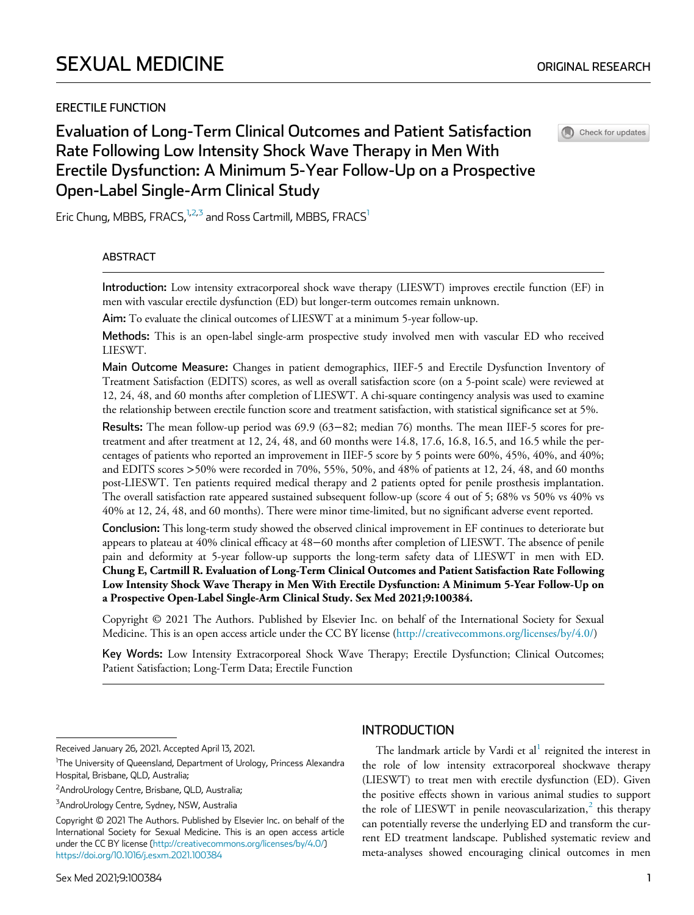# ERECTILE FUNCTION

Check for updates

# Evaluation of Long-Term Clinical Outcomes and Patient Satisfaction Rate Following Low Intensity Shock Wave Therapy in Men With Erectile Dysfunction: A Minimum 5-Year Follow-Up on a Prospective Open-Label Single-Arm Clinical Study

<span id="page-0-0"></span>Eric Chung, MBBS, FRACS, $1,2,3$  $1,2,3$  $1,2,3$  and Ross Cartmill, MBBS, FRACS<sup>1</sup>

#### ABSTRACT

Introduction: Low intensity extracorporeal shock wave therapy (LIESWT) improves erectile function (EF) in men with vascular erectile dysfunction (ED) but longer-term outcomes remain unknown.

Aim: To evaluate the clinical outcomes of LIESWT at a minimum 5-year follow-up.

Methods: This is an open-label single-arm prospective study involved men with vascular ED who received LIESWT.

Main Outcome Measure: Changes in patient demographics, IIEF-5 and Erectile Dysfunction Inventory of Treatment Satisfaction (EDITS) scores, as well as overall satisfaction score (on a 5-point scale) were reviewed at 12, 24, 48, and 60 months after completion of LIESWT. A chi-square contingency analysis was used to examine the relationship between erectile function score and treatment satisfaction, with statistical significance set at 5%.

Results: The mean follow-up period was 69.9 (63−82; median 76) months. The mean IIEF-5 scores for pretreatment and after treatment at 12, 24, 48, and 60 months were 14.8, 17.6, 16.8, 16.5, and 16.5 while the percentages of patients who reported an improvement in IIEF-5 score by 5 points were 60%, 45%, 40%, and 40%; and EDITS scores >50% were recorded in 70%, 55%, 50%, and 48% of patients at 12, 24, 48, and 60 months post-LIESWT. Ten patients required medical therapy and 2 patients opted for penile prosthesis implantation. The overall satisfaction rate appeared sustained subsequent follow-up (score 4 out of 5; 68% vs 50% vs 40% vs 40% at 12, 24, 48, and 60 months). There were minor time-limited, but no significant adverse event reported.

Conclusion: This long-term study showed the observed clinical improvement in EF continues to deteriorate but appears to plateau at 40% clinical efficacy at 48−60 months after completion of LIESWT. The absence of penile pain and deformity at 5-year follow-up supports the long-term safety data of LIESWT in men with ED. Chung E, Cartmill R. Evaluation of Long-Term Clinical Outcomes and Patient Satisfaction Rate Following Low Intensity Shock Wave Therapy in Men With Erectile Dysfunction: A Minimum 5-Year Follow-Up on a Prospective Open-Label Single-Arm Clinical Study. Sex Med 2021;9:100384.

Copyright © 2021 The Authors. Published by Elsevier Inc. on behalf of the International Society for Sexual Medicine. This is an open access article under the CC BY license [\(http://creativecommons.org/licenses/by/4.0/](http://creativecommons.org/licenses/by/4.0/))

Key Words: Low Intensity Extracorporeal Shock Wave Therapy; Erectile Dysfunction; Clinical Outcomes; Patient Satisfaction; Long-Term Data; Erectile Function

# **INTRODUCTION**

The landmark article by Vardi et al<sup>[1](#page-3-0)</sup> reignited the interest in the role of low intensity extracorporeal shockwave therapy (LIESWT) to treat men with erectile dysfunction (ED). Given the positive effects shown in various animal studies to support the role of LIESWT in penile neovascularization, $2$  this therapy can potentially reverse the underlying ED and transform the current ED treatment landscape. Published systematic review and meta-analyses showed encouraging clinical outcomes in men

Received January 26, 2021. Accepted April 13, 2021.

<sup>&</sup>lt;sup>1</sup>The University of Queensland, Department of Urology, Princess Alexandra Hospital, Brisbane, QLD, Australia;

<sup>&</sup>lt;sup>2</sup>AndroUrology Centre, Brisbane, QLD, Australia;

<sup>&</sup>lt;sup>3</sup>AndroUrology Centre, Sydney, NSW, Australia

Copyright © 2021 The Authors. Published by Elsevier Inc. on behalf of the International Society for Sexual Medicine. This is an open access article under the CC BY license (<http://creativecommons.org/licenses/by/4.0/>) [https://doi.org/10.1016/j.esxm.2021.100384](https://doi.org/)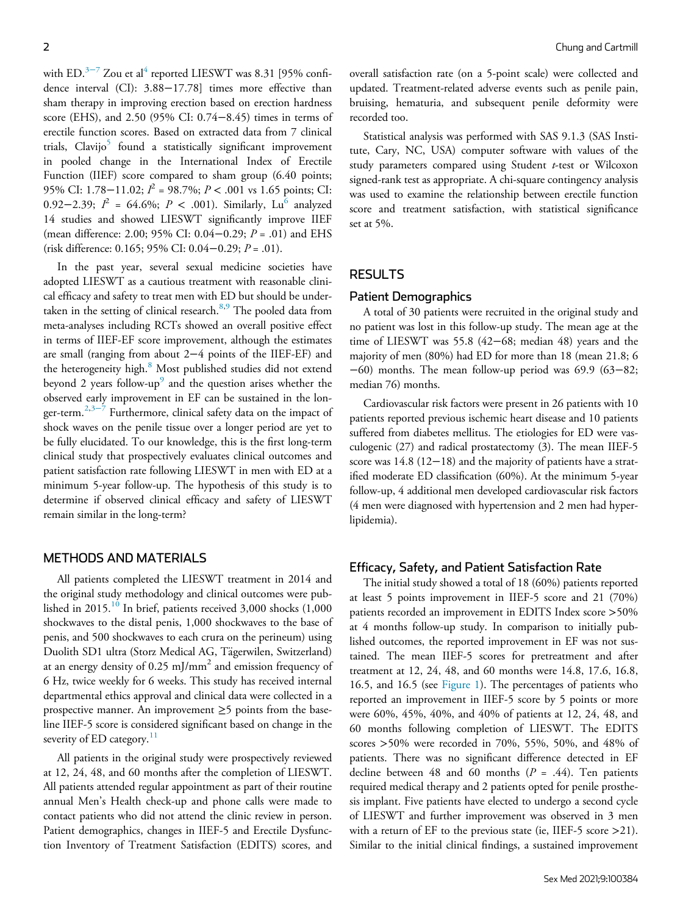with ED. $3-7$  Zou et al<sup>[4](#page-4-1)</sup> reported LIESWT was 8.31 [95% confidence interval (CI): 3.88−17.78] times more effective than sham therapy in improving erection based on erection hardness score (EHS), and 2.50 (95% CI: 0.74−8.45) times in terms of erectile function scores. Based on extracted data from 7 clinical trials,  $Clavijo<sup>5</sup>$  found a statistically significant improvement in pooled change in the International Index of Erectile Function (IIEF) score compared to sham group (6.40 points; 95% CI: 1.78–11.02;  $I^2$  = 98.7%;  $P < .001$  vs 1.65 points; CI: 0.92−2.39;  $I^2 = 64.6\%$  $I^2 = 64.6\%$  $I^2 = 64.6\%$ ;  $P < .001$ ). Similarly, Lu<sup>6</sup> analyzed 14 studies and showed LIESWT significantly improve IIEF (mean difference: 2.00; 95% CI: 0.04−0.29; P = .01) and EHS (risk difference: 0.165; 95% CI: 0.04−0.29; P = .01).

In the past year, several sexual medicine societies have adopted LIESWT as a cautious treatment with reasonable clinical efficacy and safety to treat men with ED but should be undertaken in the setting of clinical research. $8,9$  $8,9$  The pooled data from meta-analyses including RCTs showed an overall positive effect in terms of IIEF-EF score improvement, although the estimates are small (ranging from about 2−4 points of the IIEF-EF) and the heterogeneity high.<sup>[8](#page-4-4)</sup> Most published studies did not extend beyond 2 years follow-up $^9$  $^9$  and the question arises whether the observed early improvement in EF can be sustained in the lon-ger-term.<sup>[2,](#page-3-1)3–7</sup> Furthermore, clinical safety data on the impact of shock waves on the penile tissue over a longer period are yet to be fully elucidated. To our knowledge, this is the first long-term clinical study that prospectively evaluates clinical outcomes and patient satisfaction rate following LIESWT in men with ED at a minimum 5-year follow-up. The hypothesis of this study is to determine if observed clinical efficacy and safety of LIESWT remain similar in the long-term?

# METHODS AND MATERIALS

All patients completed the LIESWT treatment in 2014 and the original study methodology and clinical outcomes were pub-lished in 2015.<sup>[10](#page-4-6)</sup> In brief, patients received 3,000 shocks  $(1,000)$ shockwaves to the distal penis, 1,000 shockwaves to the base of penis, and 500 shockwaves to each crura on the perineum) using Duolith SD1 ultra (Storz Medical AG, Tägerwilen, Switzerland) at an energy density of  $0.25 \text{ mJ/mm}^2$  and emission frequency of 6 Hz, twice weekly for 6 weeks. This study has received internal departmental ethics approval and clinical data were collected in a prospective manner. An improvement  $\geq$ 5 points from the baseline IIEF-5 score is considered significant based on change in the severity of ED category. $11$ 

All patients in the original study were prospectively reviewed at 12, 24, 48, and 60 months after the completion of LIESWT. All patients attended regular appointment as part of their routine annual Men's Health check-up and phone calls were made to contact patients who did not attend the clinic review in person. Patient demographics, changes in IIEF-5 and Erectile Dysfunction Inventory of Treatment Satisfaction (EDITS) scores, and overall satisfaction rate (on a 5-point scale) were collected and updated. Treatment-related adverse events such as penile pain, bruising, hematuria, and subsequent penile deformity were recorded too.

Statistical analysis was performed with SAS 9.1.3 (SAS Institute, Cary, NC, USA) computer software with values of the study parameters compared using Student t-test or Wilcoxon signed-rank test as appropriate. A chi-square contingency analysis was used to examine the relationship between erectile function score and treatment satisfaction, with statistical significance set at 5%.

#### RESULTS

#### Patient Demographics

A total of 30 patients were recruited in the original study and no patient was lost in this follow-up study. The mean age at the time of LIESWT was 55.8 (42−68; median 48) years and the majority of men (80%) had ED for more than 18 (mean 21.8; 6 −60) months. The mean follow-up period was 69.9 (63−82; median 76) months.

Cardiovascular risk factors were present in 26 patients with 10 patients reported previous ischemic heart disease and 10 patients suffered from diabetes mellitus. The etiologies for ED were vasculogenic (27) and radical prostatectomy (3). The mean IIEF-5 score was 14.8 (12−18) and the majority of patients have a stratified moderate ED classification (60%). At the minimum 5-year follow-up, 4 additional men developed cardiovascular risk factors (4 men were diagnosed with hypertension and 2 men had hyperlipidemia).

### Efficacy, Safety, and Patient Satisfaction Rate

The initial study showed a total of 18 (60%) patients reported at least 5 points improvement in IIEF-5 score and 21 (70%) patients recorded an improvement in EDITS Index score >50% at 4 months follow-up study. In comparison to initially published outcomes, the reported improvement in EF was not sustained. The mean IIEF-5 scores for pretreatment and after treatment at 12, 24, 48, and 60 months were 14.8, 17.6, 16.8, 16.5, and 16.5 (see [Figure 1\)](#page-2-0). The percentages of patients who reported an improvement in IIEF-5 score by 5 points or more were 60%, 45%, 40%, and 40% of patients at 12, 24, 48, and 60 months following completion of LIESWT. The EDITS scores >50% were recorded in 70%, 55%, 50%, and 48% of patients. There was no significant difference detected in EF decline between 48 and 60 months ( $P = .44$ ). Ten patients required medical therapy and 2 patients opted for penile prosthesis implant. Five patients have elected to undergo a second cycle of LIESWT and further improvement was observed in 3 men with a return of EF to the previous state (ie, IIEF-5 score >21). Similar to the initial clinical findings, a sustained improvement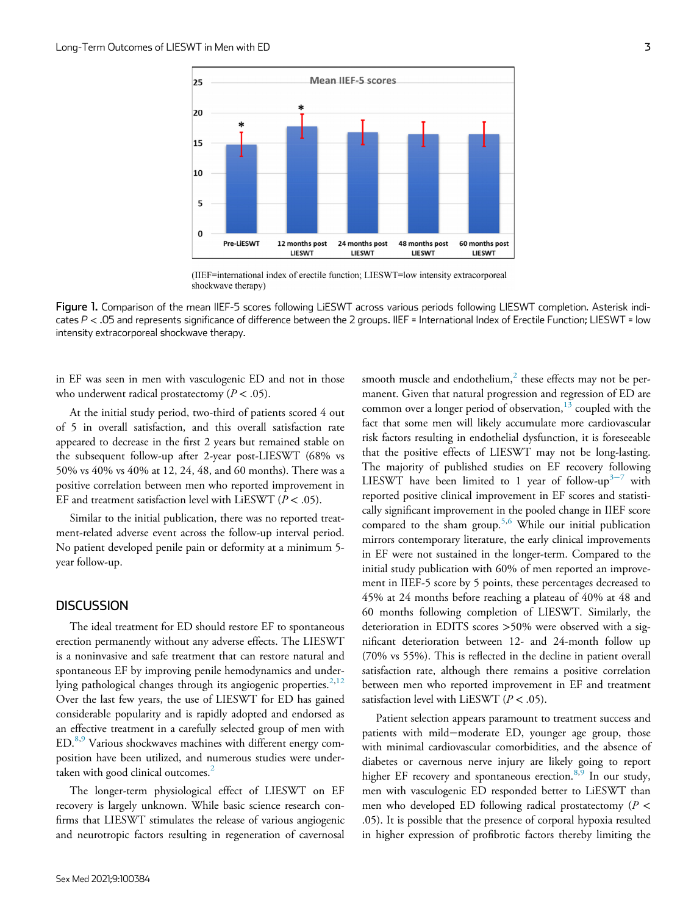<span id="page-2-0"></span>

(IIEF=international index of erectile function; LIESWT=low intensity extracorporeal shockwave therapy)

Figure 1. Comparison of the mean IIEF-5 scores following LiESWT across various periods following LIESWT completion. Asterisk indicates  $P < 0.05$  and represents significance of difference between the 2 groups. IIEF = International Index of Erectile Function; LIESWT = low intensity extracorporeal shockwave therapy.

in EF was seen in men with vasculogenic ED and not in those who underwent radical prostatectomy ( $P < .05$ ).

At the initial study period, two-third of patients scored 4 out of 5 in overall satisfaction, and this overall satisfaction rate appeared to decrease in the first 2 years but remained stable on the subsequent follow-up after 2-year post-LIESWT (68% vs 50% vs 40% vs 40% at 12, 24, 48, and 60 months). There was a positive correlation between men who reported improvement in EF and treatment satisfaction level with LiESWT ( $P < .05$ ).

Similar to the initial publication, there was no reported treatment-related adverse event across the follow-up interval period. No patient developed penile pain or deformity at a minimum 5 year follow-up.

#### **DISCUSSION**

The ideal treatment for ED should restore EF to spontaneous erection permanently without any adverse effects. The LIESWT is a noninvasive and safe treatment that can restore natural and spontaneous EF by improving penile hemodynamics and under-lying pathological changes through its angiogenic properties.<sup>[2,](#page-3-1)[12](#page-4-8)</sup> Over the last few years, the use of LIESWT for ED has gained considerable popularity and is rapidly adopted and endorsed as an effective treatment in a carefully selected group of men with ED.[8,](#page-4-4)[9](#page-4-5) Various shockwaves machines with different energy composition have been utilized, and numerous studies were under-taken with good clinical outcomes.<sup>[2](#page-3-1)</sup>

The longer-term physiological effect of LIESWT on EF recovery is largely unknown. While basic science research confirms that LIESWT stimulates the release of various angiogenic and neurotropic factors resulting in regeneration of cavernosal smooth muscle and endothelium, $<sup>2</sup>$  $<sup>2</sup>$  $<sup>2</sup>$  these effects may not be per-</sup> manent. Given that natural progression and regression of ED are common over a longer period of observation, $13$  coupled with the fact that some men will likely accumulate more cardiovascular risk factors resulting in endothelial dysfunction, it is foreseeable that the positive effects of LIESWT may not be long-lasting. The majority of published studies on EF recovery following LIESWT have been limited to 1 year of follow-up<sup>3[−](#page-4-0)7</sup> with reported positive clinical improvement in EF scores and statistically significant improvement in the pooled change in IIEF score compared to the sham group.<sup>[5,](#page-4-2)[6](#page-4-3)</sup> While our initial publication mirrors contemporary literature, the early clinical improvements in EF were not sustained in the longer-term. Compared to the initial study publication with 60% of men reported an improvement in IIEF-5 score by 5 points, these percentages decreased to 45% at 24 months before reaching a plateau of 40% at 48 and 60 months following completion of LIESWT. Similarly, the deterioration in EDITS scores >50% were observed with a significant deterioration between 12- and 24-month follow up (70% vs 55%). This is reflected in the decline in patient overall satisfaction rate, although there remains a positive correlation between men who reported improvement in EF and treatment satisfaction level with LiESWT ( $P < .05$ ).

Patient selection appears paramount to treatment success and patients with mild−moderate ED, younger age group, those with minimal cardiovascular comorbidities, and the absence of diabetes or cavernous nerve injury are likely going to report higher EF recovery and spontaneous erection. $8,9$  $8,9$  In our study, men with vasculogenic ED responded better to LiESWT than men who developed ED following radical prostatectomy ( $P$  < .05). It is possible that the presence of corporal hypoxia resulted in higher expression of profibrotic factors thereby limiting the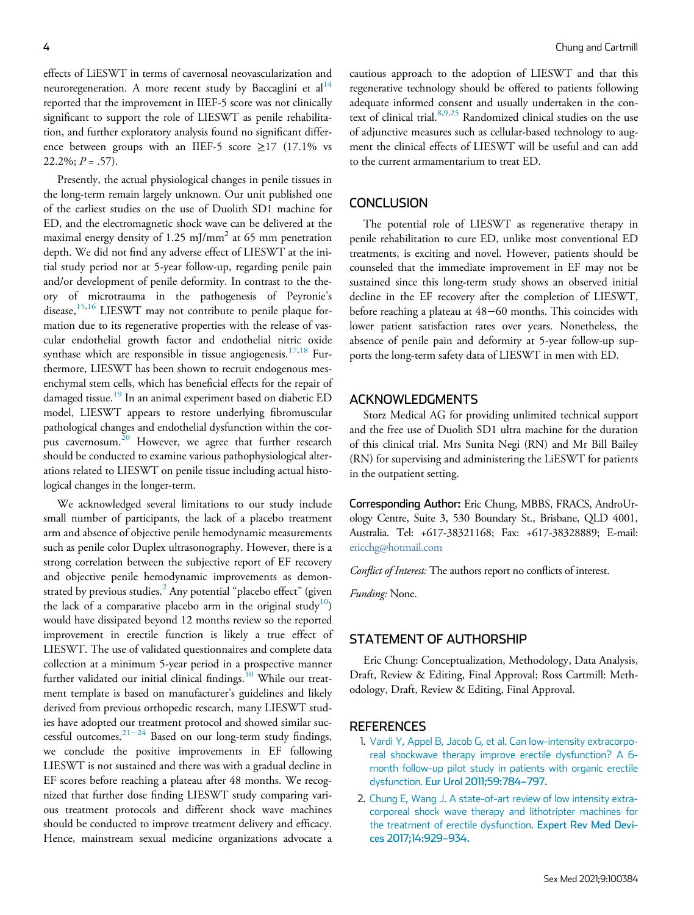effects of LiESWT in terms of cavernosal neovascularization and neuroregeneration. A more recent study by Baccaglini et  $al<sup>14</sup>$  $al<sup>14</sup>$  $al<sup>14</sup>$ reported that the improvement in IIEF-5 score was not clinically significant to support the role of LIESWT as penile rehabilitation, and further exploratory analysis found no significant difference between groups with an IIEF-5 score  $\geq$ 17 (17.1% vs  $22.2\%; P = .57$ ).

Presently, the actual physiological changes in penile tissues in the long-term remain largely unknown. Our unit published one of the earliest studies on the use of Duolith SD1 machine for ED, and the electromagnetic shock wave can be delivered at the maximal energy density of 1.25 mJ/mm<sup>2</sup> at 65 mm penetration depth. We did not find any adverse effect of LIESWT at the initial study period nor at 5-year follow-up, regarding penile pain and/or development of penile deformity. In contrast to the theory of microtrauma in the pathogenesis of Peyronie's disease,<sup>[15,](#page-4-11)[16](#page-4-12)</sup> LIESWT may not contribute to penile plaque formation due to its regenerative properties with the release of vascular endothelial growth factor and endothelial nitric oxide synthase which are responsible in tissue angiogenesis.<sup>[17](#page-4-13)[,18](#page-4-14)</sup> Furthermore, LIESWT has been shown to recruit endogenous mesenchymal stem cells, which has beneficial effects for the repair of damaged tissue.<sup>[19](#page-4-15)</sup> In an animal experiment based on diabetic ED model, LIESWT appears to restore underlying fibromuscular pathological changes and endothelial dysfunction within the cor-pus cavernosum.<sup>[20](#page-4-16)</sup> However, we agree that further research should be conducted to examine various pathophysiological alterations related to LIESWT on penile tissue including actual histological changes in the longer-term.

<span id="page-3-1"></span><span id="page-3-0"></span>We acknowledged several limitations to our study include small number of participants, the lack of a placebo treatment arm and absence of objective penile hemodynamic measurements such as penile color Duplex ultrasonography. However, there is a strong correlation between the subjective report of EF recovery and objective penile hemodynamic improvements as demonstrated by previous studies. $^2$  $^2$  Any potential "placebo effect" (given the lack of a comparative placebo arm in the original study<sup>[10](#page-4-6)</sup>) would have dissipated beyond 12 months review so the reported improvement in erectile function is likely a true effect of LIESWT. The use of validated questionnaires and complete data collection at a minimum 5-year period in a prospective manner further validated our initial clinical findings.<sup>[10](#page-4-6)</sup> While our treatment template is based on manufacturer's guidelines and likely derived from previous orthopedic research, many LIESWT studies have adopted our treatment protocol and showed similar successful outcomes.[21](#page-4-17)−<sup>24</sup> Based on our long-term study findings, we conclude the positive improvements in EF following LIESWT is not sustained and there was with a gradual decline in EF scores before reaching a plateau after 48 months. We recognized that further dose finding LIESWT study comparing various treatment protocols and different shock wave machines should be conducted to improve treatment delivery and efficacy. Hence, mainstream sexual medicine organizations advocate a cautious approach to the adoption of LIESWT and that this regenerative technology should be offered to patients following adequate informed consent and usually undertaken in the con-text of clinical trial.<sup>[8](#page-4-4),[9](#page-4-5)[,25](#page-4-18)</sup> Randomized clinical studies on the use of adjunctive measures such as cellular-based technology to augment the clinical effects of LIESWT will be useful and can add to the current armamentarium to treat ED.

#### **CONCLUSION**

The potential role of LIESWT as regenerative therapy in penile rehabilitation to cure ED, unlike most conventional ED treatments, is exciting and novel. However, patients should be counseled that the immediate improvement in EF may not be sustained since this long-term study shows an observed initial decline in the EF recovery after the completion of LIESWT, before reaching a plateau at 48−60 months. This coincides with lower patient satisfaction rates over years. Nonetheless, the absence of penile pain and deformity at 5-year follow-up supports the long-term safety data of LIESWT in men with ED.

#### ACKNOWLEDGMENTS

Storz Medical AG for providing unlimited technical support and the free use of Duolith SD1 ultra machine for the duration of this clinical trial. Mrs Sunita Negi (RN) and Mr Bill Bailey (RN) for supervising and administering the LiESWT for patients in the outpatient setting.

Corresponding Author: Eric Chung, MBBS, FRACS, AndroUrology Centre, Suite 3, 530 Boundary St., Brisbane, QLD 4001, Australia. Tel: +617-38321168; Fax: +617-38328889; E-mail: [ericchg@hotmail.com](mailto:ericchg@hotmail.com)

Conflict of Interest: The authors report no conflicts of interest.

Funding: None.

### STATEMENT OF AUTHORSHIP

Eric Chung: Conceptualization, Methodology, Data Analysis, Draft, Review & Editing, Final Approval; Ross Cartmill: Methodology, Draft, Review & Editing, Final Approval.

#### **REFERENCES**

- 1. [Vardi Y, Appel B, Jacob G, et al. Can low-intensity extracorpo](http://refhub.elsevier.com/S2050-1161(21)00064-7/sbref0001)[real shockwave therapy improve erectile dysfunction? A 6](http://refhub.elsevier.com/S2050-1161(21)00064-7/sbref0001) [month follow-up pilot study in patients with organic erectile](http://refhub.elsevier.com/S2050-1161(21)00064-7/sbref0001) dysfunction. [Eur Urol 2011;59:784](http://refhub.elsevier.com/S2050-1161(21)00064-7/sbref0001)–797.
- 2. [Chung E, Wang J. A state-of-art review of low intensity extra](http://refhub.elsevier.com/S2050-1161(21)00064-7/sbref0002)[corporeal shock wave therapy and lithotripter machines for](http://refhub.elsevier.com/S2050-1161(21)00064-7/sbref0002) [the treatment of erectile dysfunction.](http://refhub.elsevier.com/S2050-1161(21)00064-7/sbref0002) Expert Rev Med Devi[ces 2017;14:929](http://refhub.elsevier.com/S2050-1161(21)00064-7/sbref0002)–934.